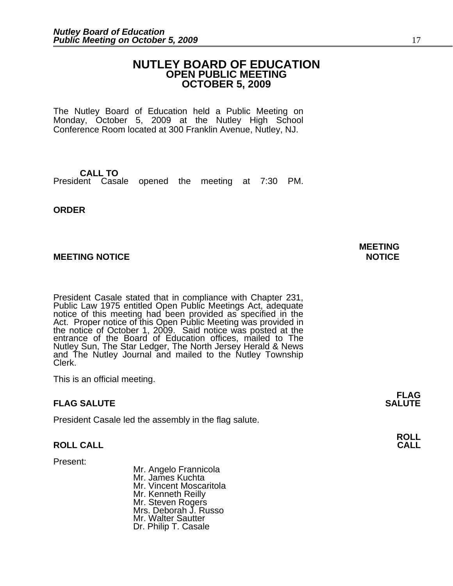# **NUTLEY BOARD OF EDUCATION OPEN PUBLIC MEETING OCTOBER 5, 2009**

The Nutley Board of Education held a Public Meeting on Monday, October 5, 2009 at the Nutley High School Conference Room located at 300 Franklin Avenue, Nutley, NJ.

**CALL TO** President Casale opened the meeting at 7:30 PM.

**ORDER**

# **MEETING NOTICE NOTICE**

President Casale stated that in compliance with Chapter 231, Public Law 1975 entitled Open Public Meetings Act, adequate notice of this meeting had been provided as specified in the Act. Proper notice of this Open Public Meeting was provided in the notice of October 1, 2009. Said notice was posted at the entrance of the Board of Education offices, mailed to The Nutley Sun, The Star Ledger, The North Jersey Herald & News and The Nutley Journal and mailed to the Nutley Township Clerk.

This is an official meeting.

# **FLAG SALUTE**

President Casale led the assembly in the flag salute.

# **ROLL CALL CALL**

Present:

Mr. Angelo Frannicola Mr. James Kuchta Mr. Vincent Moscaritola Mr. Kenneth Reilly Mr. Steven Rogers Mrs. Deborah J. Russo Mr. Walter Sautter Dr. Philip T. Casale

# **MEETING**

**FLAG**<br>**SALUTE**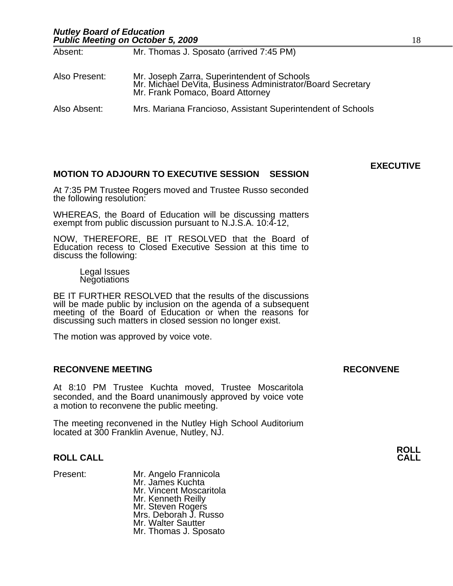| Absent:       | Mr. Thomas J. Sposato (arrived 7:45 PM)                                                                                                       |
|---------------|-----------------------------------------------------------------------------------------------------------------------------------------------|
| Also Present: | Mr. Joseph Zarra, Superintendent of Schools<br>Mr. Michael DeVita, Business Administrator/Board Secretary<br>Mr. Frank Pomaco, Board Attorney |
| Also Absent:  | Mrs. Mariana Francioso, Assistant Superintendent of Schools                                                                                   |

# **MOTION TO ADJOURN TO EXECUTIVE SESSION SESSION**

At 7:35 PM Trustee Rogers moved and Trustee Russo seconded the following resolution:

WHEREAS, the Board of Education will be discussing matters exempt from public discussion pursuant to N.J.S.A. 10:4-12,

NOW, THEREFORE, BE IT RESOLVED that the Board of Education recess to Closed Executive Session at this time to discuss the following:

Legal Issues Negotiations

BE IT FURTHER RESOLVED that the results of the discussions will be made public by inclusion on the agenda of a subsequent meeting of the Board of Education or when the reasons for discussing such matters in closed session no longer exist.

The motion was approved by voice vote.

# **RECONVENE MEETING RECONVENE**

At 8:10 PM Trustee Kuchta moved, Trustee Moscaritola seconded, and the Board unanimously approved by voice vote a motion to reconvene the public meeting.

The meeting reconvened in the Nutley High School Auditorium located at 300 Franklin Avenue, Nutley, NJ.

# **ROLL CALL CALL**

Present: Mr. Angelo Frannicola Mr. James Kuchta Mr. Vincent Moscaritola Mr. Kenneth Reilly Mr. Steven Rogers Mrs. Deborah J. Russo Mr. Walter Sautter Mr. Thomas J. Sposato

**EXECUTIVE**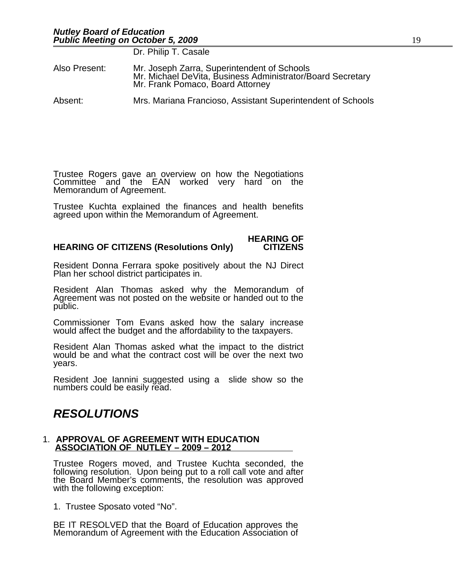|               | Dr. Philip T. Casale                                                                                                                          |
|---------------|-----------------------------------------------------------------------------------------------------------------------------------------------|
| Also Present: | Mr. Joseph Zarra, Superintendent of Schools<br>Mr. Michael DeVita, Business Administrator/Board Secretary<br>Mr. Frank Pomaco, Board Attorney |
| Absent:       | Mrs. Mariana Francioso, Assistant Superintendent of Schools                                                                                   |

Trustee Rogers gave an overview on how the Negotiations Committee and the EAN worked very hard on the Memorandum of Agreement.

Trustee Kuchta explained the finances and health benefits agreed upon within the Memorandum of Agreement.

### **HEARING OF HEARING OF CITIZENS (Resolutions Only)**

Resident Donna Ferrara spoke positively about the NJ Direct Plan her school district participates in.

Resident Alan Thomas asked why the Memorandum of Agreement was not posted on the website or handed out to the public.

Commissioner Tom Evans asked how the salary increase would affect the budget and the affordability to the taxpayers.

Resident Alan Thomas asked what the impact to the district would be and what the contract cost will be over the next two years.

Resident Joe Iannini suggested using a slide show so the numbers could be easily read.

# *RESOLUTIONS*

### 1. **APPROVAL OF AGREEMENT WITH EDUCATION ASSOCIATION OF NUTLEY – 2009 – 2012**

Trustee Rogers moved, and Trustee Kuchta seconded, the following resolution. Upon being put to a roll call vote and after the Board Member's comments, the resolution was approved with the following exception:

1. Trustee Sposato voted "No".

BE IT RESOLVED that the Board of Education approves the Memorandum of Agreement with the Education Association of